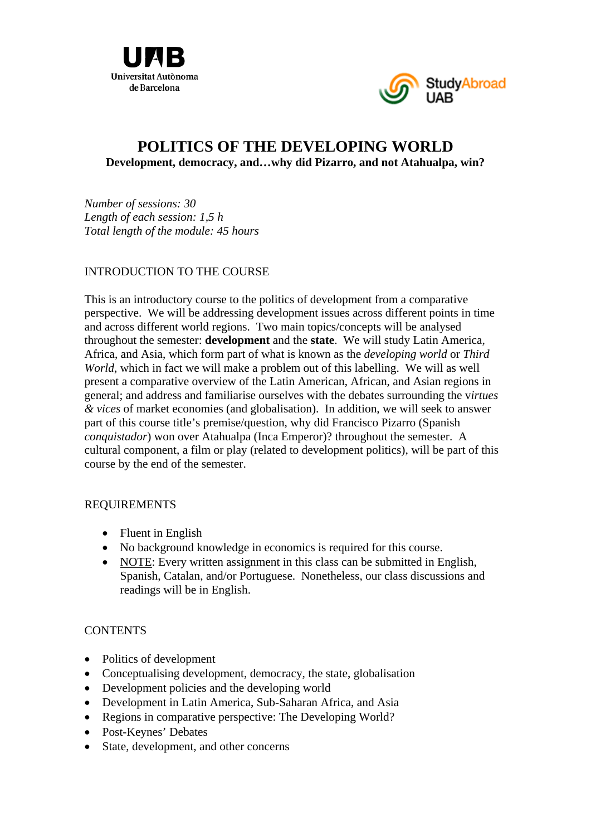



# **POLITICS OF THE DEVELOPING WORLD Development, democracy, and…why did Pizarro, and not Atahualpa, win?**

*Number of sessions: 30 Length of each session: 1,5 h Total length of the module: 45 hours* 

# INTRODUCTION TO THE COURSE

This is an introductory course to the politics of development from a comparative perspective. We will be addressing development issues across different points in time and across different world regions. Two main topics/concepts will be analysed throughout the semester: **development** and the **state**. We will study Latin America, Africa, and Asia, which form part of what is known as the *developing world* or *Third World*, which in fact we will make a problem out of this labelling. We will as well present a comparative overview of the Latin American, African, and Asian regions in general; and address and familiarise ourselves with the debates surrounding the v*irtues & vices* of market economies (and globalisation). In addition, we will seek to answer part of this course title's premise/question, why did Francisco Pizarro (Spanish *conquistador*) won over Atahualpa (Inca Emperor)? throughout the semester. A cultural component, a film or play (related to development politics), will be part of this course by the end of the semester.

#### REQUIREMENTS

- Fluent in English
- No background knowledge in economics is required for this course.
- NOTE: Every written assignment in this class can be submitted in English, Spanish, Catalan, and/or Portuguese. Nonetheless, our class discussions and readings will be in English.

### **CONTENTS**

- Politics of development
- Conceptualising development, democracy, the state, globalisation
- Development policies and the developing world
- Development in Latin America, Sub-Saharan Africa, and Asia
- Regions in comparative perspective: The Developing World?
- Post-Keynes' Debates
- State, development, and other concerns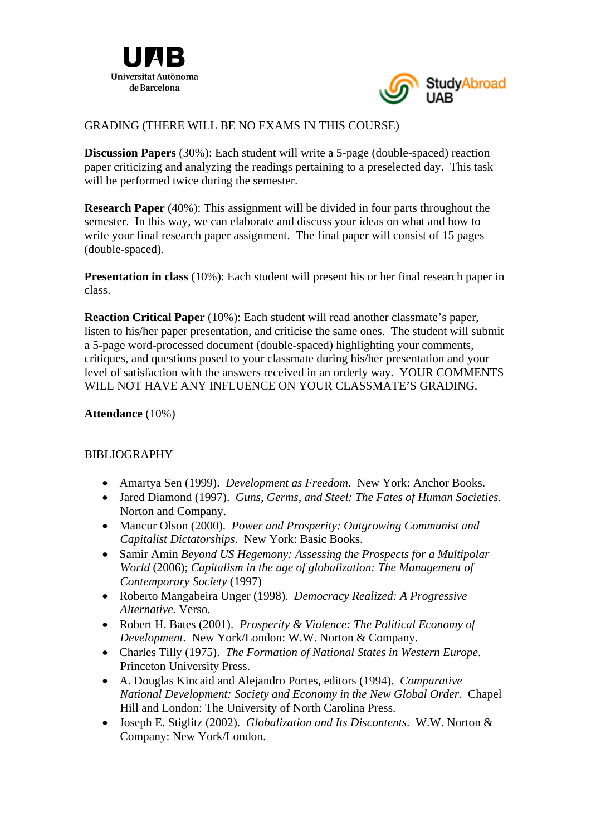



# GRADING (THERE WILL BE NO EXAMS IN THIS COURSE)

**Discussion Papers** (30%): Each student will write a 5-page (double-spaced) reaction paper criticizing and analyzing the readings pertaining to a preselected day. This task will be performed twice during the semester.

**Research Paper** (40%): This assignment will be divided in four parts throughout the semester. In this way, we can elaborate and discuss your ideas on what and how to write your final research paper assignment. The final paper will consist of 15 pages (double-spaced).

**Presentation in class** (10%): Each student will present his or her final research paper in class.

**Reaction Critical Paper** (10%): Each student will read another classmate's paper, listen to his/her paper presentation, and criticise the same ones. The student will submit a 5-page word-processed document (double-spaced) highlighting your comments, critiques, and questions posed to your classmate during his/her presentation and your level of satisfaction with the answers received in an orderly way. YOUR COMMENTS WILL NOT HAVE ANY INFLUENCE ON YOUR CLASSMATE'S GRADING.

#### **Attendance** (10%)

### **BIBLIOGRAPHY**

- Amartya Sen (1999). *Development as Freedom*. New York: Anchor Books.
- Jared Diamond (1997). *Guns, Germs, and Steel: The Fates of Human Societies*. Norton and Company.
- Mancur Olson (2000). *Power and Prosperity: Outgrowing Communist and Capitalist Dictatorships*. New York: Basic Books.
- Samir Amin *Beyond US Hegemony: Assessing the Prospects for a Multipolar World* (2006); *Capitalism in the age of globalization: The Management of Contemporary Society* (1997)
- Roberto Mangabeira Unger (1998). *Democracy Realized: A Progressive Alternative.* Verso.
- Robert H. Bates (2001). *Prosperity & Violence: The Political Economy of Development*. New York/London: W.W. Norton & Company.
- Charles Tilly (1975). *The Formation of National States in Western Europe*. Princeton University Press.
- A. Douglas Kincaid and Alejandro Portes, editors (1994). *Comparative National Development: Society and Economy in the New Global Order*. Chapel Hill and London: The University of North Carolina Press.
- Joseph E. Stiglitz (2002). *Globalization and Its Discontents*. W.W. Norton & Company: New York/London.